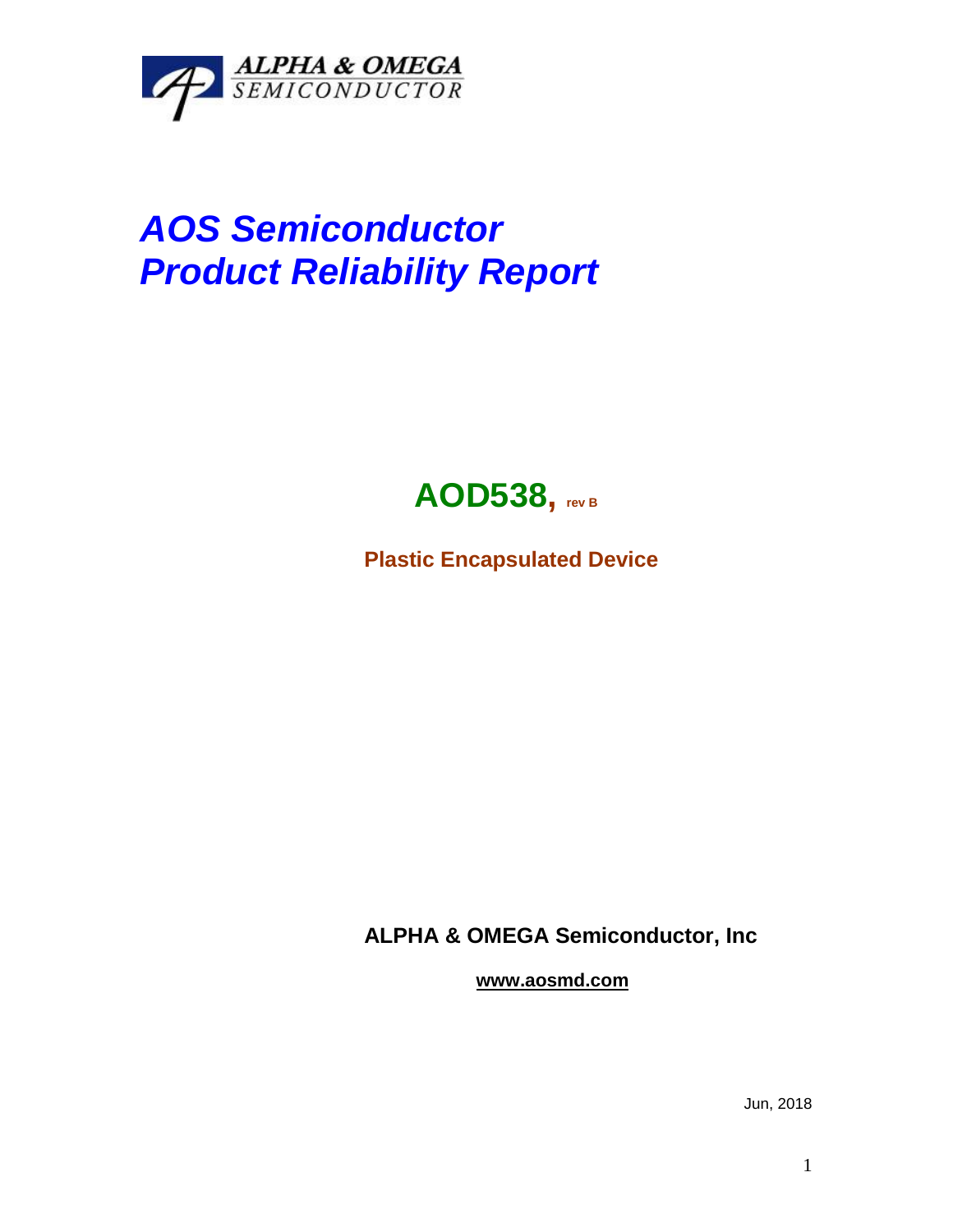

## *AOS Semiconductor Product Reliability Report*



**Plastic Encapsulated Device**

**ALPHA & OMEGA Semiconductor, Inc**

**www.aosmd.com**

Jun, 2018